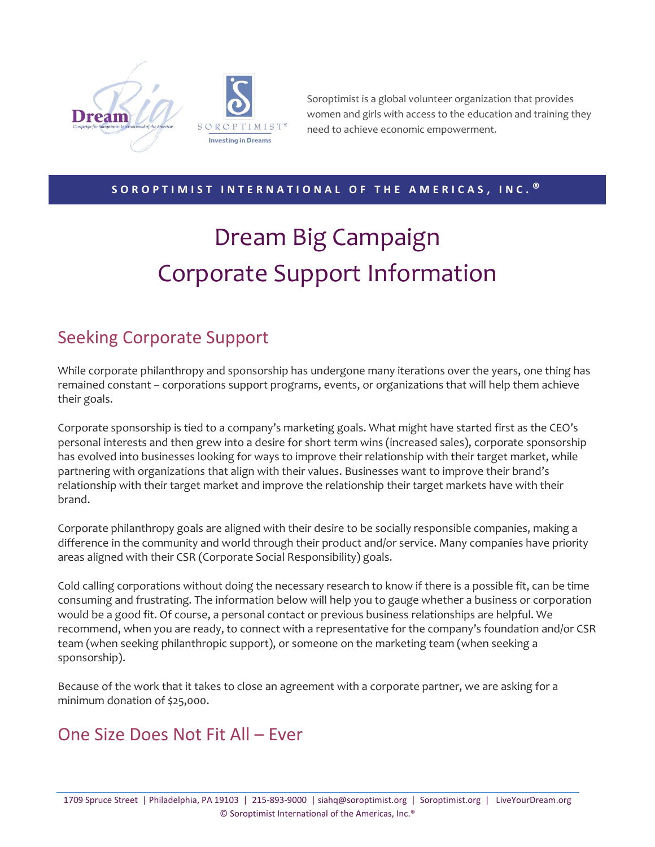

SOROPTIMIST<sup>®</sup> **Investing in Dreams** 

Soroptimist is a global volunteer organization that provides women and girls with access to the education and training they need to achieve economic empowerment.

#### **S O R O P T I M I S T I N T E R N A T I O N A L O F T H E A M E R I C A S , I N C . ®**

# Dream Big Campaign Corporate Support Information

### Seeking Corporate Support

While corporate philanthropy and sponsorship has undergone many iterations over the years, one thing has remained constant – corporations support programs, events, or organizations that will help them achieve their goals.

Corporate sponsorship is tied to a company's marketing goals. What might have started first as the CEO's personal interests and then grew into a desire for short term wins (increased sales), corporate sponsorship has evolved into businesses looking for ways to improve their relationship with their target market, while partnering with organizations that align with their values. Businesses want to improve their brand's relationship with their target market and improve the relationship their target markets have with their brand.

Corporate philanthropy goals are aligned with their desire to be socially responsible companies, making a difference in the community and world through their product and/or service. Many companies have priority areas aligned with their CSR (Corporate Social Responsibility) goals.

Cold calling corporations without doing the necessary research to know if there is a possible fit, can be time consuming and frustrating. The information below will help you to gauge whether a business or corporation would be a good fit. Of course, a personal contact or previous business relationships are helpful. We recommend, when you are ready, to connect with a representative for the company's foundation and/or CSR team (when seeking philanthropic support), or someone on the marketing team (when seeking a sponsorship).

Because of the work that it takes to close an agreement with a corporate partner, we are asking for a minimum donation of \$25,000.

#### One Size Does Not Fit All – Ever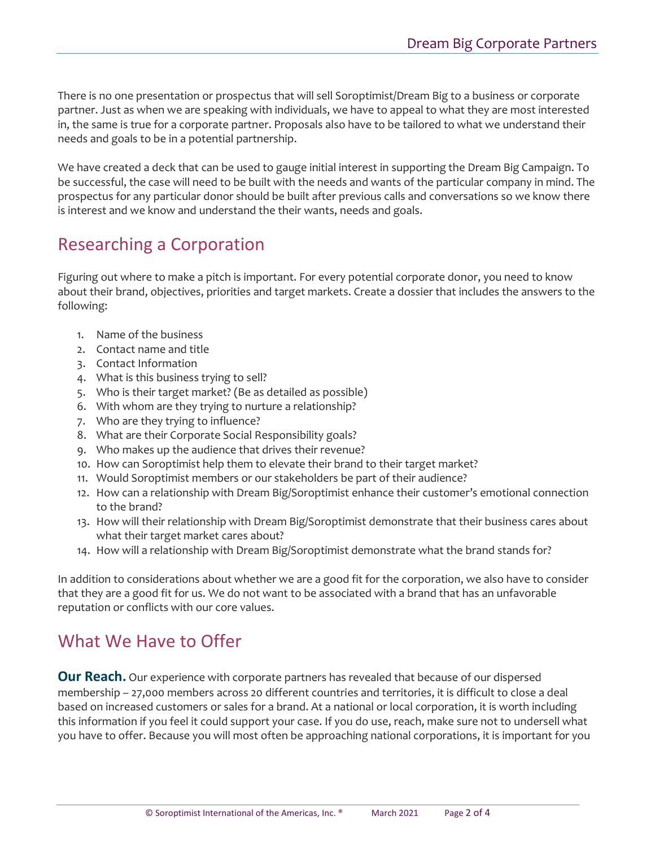There is no one presentation or prospectus that will sell Soroptimist/Dream Big to a business or corporate partner. Just as when we are speaking with individuals, we have to appeal to what they are most interested in, the same is true for a corporate partner. Proposals also have to be tailored to what we understand their needs and goals to be in a potential partnership.

We have created a deck that can be used to gauge initial interest in supporting the Dream Big Campaign. To be successful, the case will need to be built with the needs and wants of the particular company in mind. The prospectus for any particular donor should be built after previous calls and conversations so we know there is interest and we know and understand the their wants, needs and goals.

# Researching a Corporation

Figuring out where to make a pitch is important. For every potential corporate donor, you need to know about their brand, objectives, priorities and target markets. Create a dossier that includes the answers to the following:

- 1. Name of the business
- 2. Contact name and title
- 3. Contact Information
- 4. What is this business trying to sell?
- 5. Who is their target market? (Be as detailed as possible)
- 6. With whom are they trying to nurture a relationship?
- 7. Who are they trying to influence?
- 8. What are their Corporate Social Responsibility goals?
- 9. Who makes up the audience that drives their revenue?
- 10. How can Soroptimist help them to elevate their brand to their target market?
- 11. Would Soroptimist members or our stakeholders be part of their audience?
- 12. How can a relationship with Dream Big/Soroptimist enhance their customer's emotional connection to the brand?
- 13. How will their relationship with Dream Big/Soroptimist demonstrate that their business cares about what their target market cares about?
- 14. How will a relationship with Dream Big/Soroptimist demonstrate what the brand stands for?

In addition to considerations about whether we are a good fit for the corporation, we also have to consider that they are a good fit for us. We do not want to be associated with a brand that has an unfavorable reputation or conflicts with our core values.

# What We Have to Offer

**Our Reach.** Our experience with corporate partners has revealed that because of our dispersed membership – 27,000 members across 20 different countries and territories, it is difficult to close a deal based on increased customers or sales for a brand. At a national or local corporation, it is worth including this information if you feel it could support your case. If you do use, reach, make sure not to undersell what you have to offer. Because you will most often be approaching national corporations, it is important for you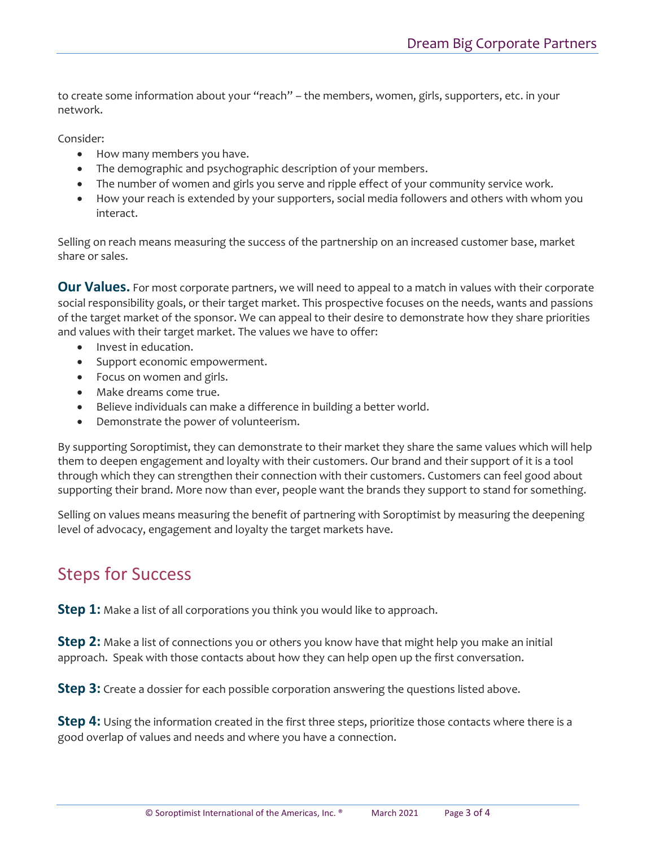to create some information about your "reach" – the members, women, girls, supporters, etc. in your network.

Consider:

- How many members you have.
- The demographic and psychographic description of your members.
- The number of women and girls you serve and ripple effect of your community service work.
- How your reach is extended by your supporters, social media followers and others with whom you interact.

Selling on reach means measuring the success of the partnership on an increased customer base, market share or sales.

**Our Values.** For most corporate partners, we will need to appeal to a match in values with their corporate social responsibility goals, or their target market. This prospective focuses on the needs, wants and passions of the target market of the sponsor. We can appeal to their desire to demonstrate how they share priorities and values with their target market. The values we have to offer:

- Invest in education.
- Support economic empowerment.
- Focus on women and girls.
- Make dreams come true.
- Believe individuals can make a difference in building a better world.
- Demonstrate the power of volunteerism.

By supporting Soroptimist, they can demonstrate to their market they share the same values which will help them to deepen engagement and loyalty with their customers. Our brand and their support of it is a tool through which they can strengthen their connection with their customers. Customers can feel good about supporting their brand. More now than ever, people want the brands they support to stand for something.

Selling on values means measuring the benefit of partnering with Soroptimist by measuring the deepening level of advocacy, engagement and loyalty the target markets have.

## Steps for Success

**Step 1:** Make a list of all corporations you think you would like to approach.

**Step 2:** Make a list of connections you or others you know have that might help you make an initial approach. Speak with those contacts about how they can help open up the first conversation.

**Step 3:** Create a dossier for each possible corporation answering the questions listed above.

**Step 4:** Using the information created in the first three steps, prioritize those contacts where there is a good overlap of values and needs and where you have a connection.